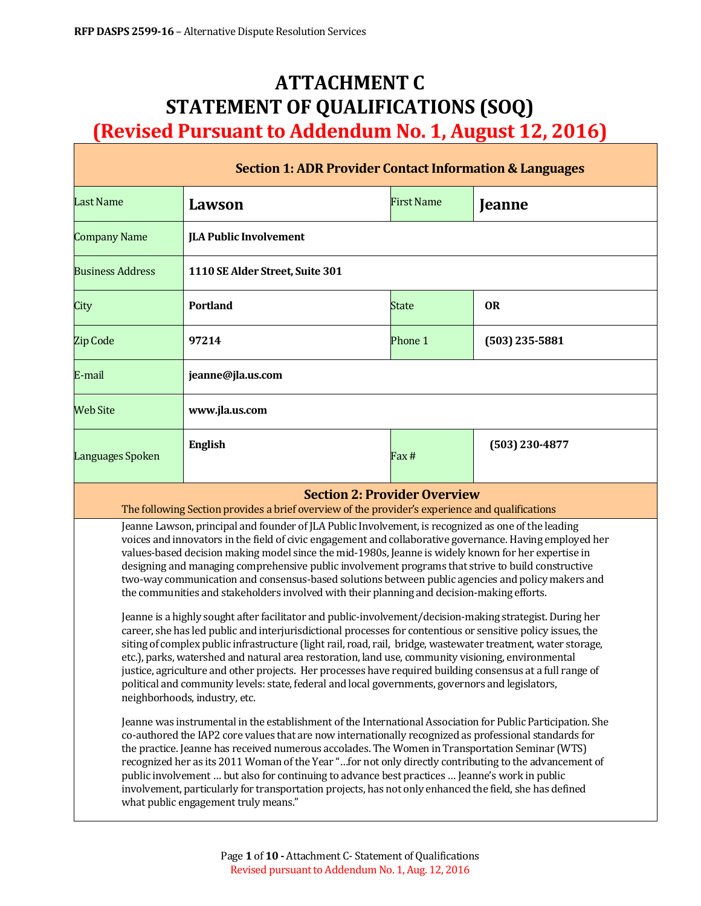# **ATTACHMENT C STATEMENT OF QUALIFICATIONS (SOQ) (Revised Pursuant to Addendum No. 1, August 12, 2016)**

| <b>Section 1: ADR Provider Contact Information &amp; Languages</b>                                                                                                                                                                                                                                                                                                                                                                                                                                                                                                                                                                                                                                                                                                                                                                                                                                                                                                                                                                                                                                                                                                                                                                                                                                                                                                                                                                                                                                                                                                                                                                                                                                                                                                                                                                                                                                                                                                                                                                |                                 |                   |                  |  |  |
|-----------------------------------------------------------------------------------------------------------------------------------------------------------------------------------------------------------------------------------------------------------------------------------------------------------------------------------------------------------------------------------------------------------------------------------------------------------------------------------------------------------------------------------------------------------------------------------------------------------------------------------------------------------------------------------------------------------------------------------------------------------------------------------------------------------------------------------------------------------------------------------------------------------------------------------------------------------------------------------------------------------------------------------------------------------------------------------------------------------------------------------------------------------------------------------------------------------------------------------------------------------------------------------------------------------------------------------------------------------------------------------------------------------------------------------------------------------------------------------------------------------------------------------------------------------------------------------------------------------------------------------------------------------------------------------------------------------------------------------------------------------------------------------------------------------------------------------------------------------------------------------------------------------------------------------------------------------------------------------------------------------------------------------|---------------------------------|-------------------|------------------|--|--|
| <b>Last Name</b>                                                                                                                                                                                                                                                                                                                                                                                                                                                                                                                                                                                                                                                                                                                                                                                                                                                                                                                                                                                                                                                                                                                                                                                                                                                                                                                                                                                                                                                                                                                                                                                                                                                                                                                                                                                                                                                                                                                                                                                                                  | Lawson                          | <b>First Name</b> | Jeanne           |  |  |
| <b>Company Name</b>                                                                                                                                                                                                                                                                                                                                                                                                                                                                                                                                                                                                                                                                                                                                                                                                                                                                                                                                                                                                                                                                                                                                                                                                                                                                                                                                                                                                                                                                                                                                                                                                                                                                                                                                                                                                                                                                                                                                                                                                               | <b>JLA Public Involvement</b>   |                   |                  |  |  |
| <b>Business Address</b>                                                                                                                                                                                                                                                                                                                                                                                                                                                                                                                                                                                                                                                                                                                                                                                                                                                                                                                                                                                                                                                                                                                                                                                                                                                                                                                                                                                                                                                                                                                                                                                                                                                                                                                                                                                                                                                                                                                                                                                                           | 1110 SE Alder Street, Suite 301 |                   |                  |  |  |
| City                                                                                                                                                                                                                                                                                                                                                                                                                                                                                                                                                                                                                                                                                                                                                                                                                                                                                                                                                                                                                                                                                                                                                                                                                                                                                                                                                                                                                                                                                                                                                                                                                                                                                                                                                                                                                                                                                                                                                                                                                              | <b>Portland</b>                 | <b>State</b>      | <b>OR</b>        |  |  |
| Zip Code                                                                                                                                                                                                                                                                                                                                                                                                                                                                                                                                                                                                                                                                                                                                                                                                                                                                                                                                                                                                                                                                                                                                                                                                                                                                                                                                                                                                                                                                                                                                                                                                                                                                                                                                                                                                                                                                                                                                                                                                                          | 97214                           | Phone 1           | $(503)$ 235-5881 |  |  |
| E-mail                                                                                                                                                                                                                                                                                                                                                                                                                                                                                                                                                                                                                                                                                                                                                                                                                                                                                                                                                                                                                                                                                                                                                                                                                                                                                                                                                                                                                                                                                                                                                                                                                                                                                                                                                                                                                                                                                                                                                                                                                            | jeanne@jla.us.com               |                   |                  |  |  |
| <b>Web Site</b>                                                                                                                                                                                                                                                                                                                                                                                                                                                                                                                                                                                                                                                                                                                                                                                                                                                                                                                                                                                                                                                                                                                                                                                                                                                                                                                                                                                                                                                                                                                                                                                                                                                                                                                                                                                                                                                                                                                                                                                                                   | www.jla.us.com                  |                   |                  |  |  |
| Languages Spoken                                                                                                                                                                                                                                                                                                                                                                                                                                                                                                                                                                                                                                                                                                                                                                                                                                                                                                                                                                                                                                                                                                                                                                                                                                                                                                                                                                                                                                                                                                                                                                                                                                                                                                                                                                                                                                                                                                                                                                                                                  | <b>English</b>                  | Fax #             | (503) 230-4877   |  |  |
| <b>Section 2: Provider Overview</b><br>The following Section provides a brief overview of the provider's experience and qualifications                                                                                                                                                                                                                                                                                                                                                                                                                                                                                                                                                                                                                                                                                                                                                                                                                                                                                                                                                                                                                                                                                                                                                                                                                                                                                                                                                                                                                                                                                                                                                                                                                                                                                                                                                                                                                                                                                            |                                 |                   |                  |  |  |
| Jeanne Lawson, principal and founder of JLA Public Involvement, is recognized as one of the leading<br>voices and innovators in the field of civic engagement and collaborative governance. Having employed her<br>values-based decision making model since the mid-1980s, Jeanne is widely known for her expertise in<br>designing and managing comprehensive public involvement programs that strive to build constructive<br>two-way communication and consensus-based solutions between public agencies and policy makers and<br>the communities and stakeholders involved with their planning and decision-making efforts.<br>Jeanne is a highly sought after facilitator and public-involvement/decision-making strategist. During her<br>career, she has led public and interjurisdictional processes for contentious or sensitive policy issues, the<br>siting of complex public infrastructure (light rail, road, rail, bridge, wastewater treatment, water storage,<br>etc.), parks, watershed and natural area restoration, land use, community visioning, environmental<br>justice, agriculture and other projects. Her processes have required building consensus at a full range of<br>political and community levels: state, federal and local governments, governors and legislators,<br>neighborhoods, industry, etc.<br>Jeanne was instrumental in the establishment of the International Association for Public Participation. She<br>co-authored the IAP2 core values that are now internationally recognized as professional standards for<br>the practice. Jeanne has received numerous accolades. The Women in Transportation Seminar (WTS)<br>recognized her as its 2011 Woman of the Year "for not only directly contributing to the advancement of<br>public involvement  but also for continuing to advance best practices  Jeanne's work in public<br>involvement, particularly for transportation projects, has not only enhanced the field, she has defined<br>what public engagement truly means." |                                 |                   |                  |  |  |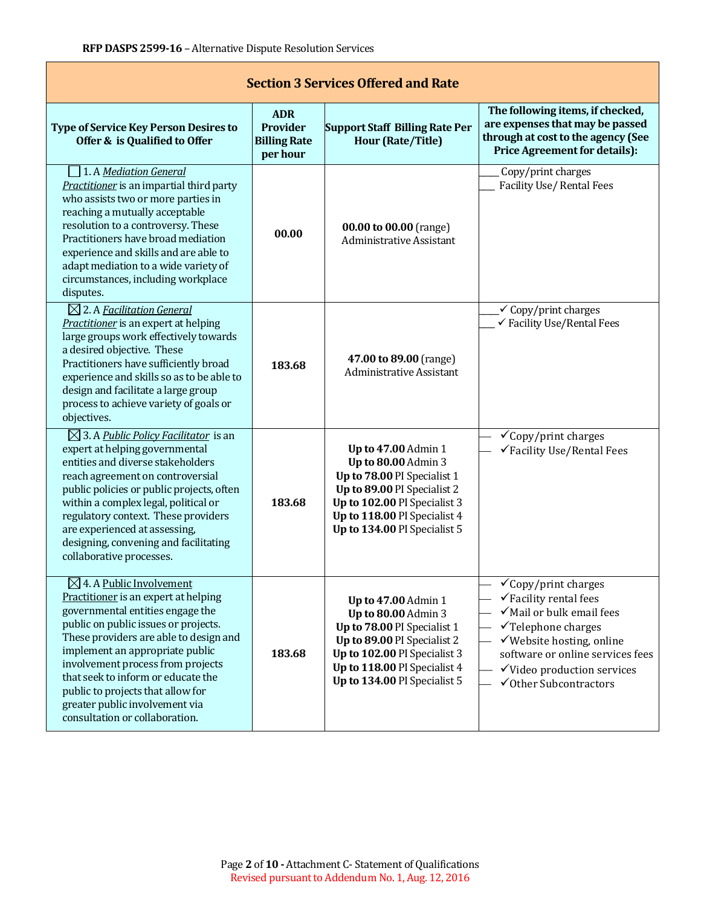| <b>Section 3 Services Offered and Rate</b>                                                                                                                                                                                                                                                                                                                                                                               |                                                           |                                                                                                                                                                                                                 |                                                                                                                                                                                                                                                                       |  |  |  |
|--------------------------------------------------------------------------------------------------------------------------------------------------------------------------------------------------------------------------------------------------------------------------------------------------------------------------------------------------------------------------------------------------------------------------|-----------------------------------------------------------|-----------------------------------------------------------------------------------------------------------------------------------------------------------------------------------------------------------------|-----------------------------------------------------------------------------------------------------------------------------------------------------------------------------------------------------------------------------------------------------------------------|--|--|--|
| <b>Type of Service Key Person Desires to</b><br>Offer & is Qualified to Offer                                                                                                                                                                                                                                                                                                                                            | <b>ADR</b><br>Provider<br><b>Billing Rate</b><br>per hour | <b>Support Staff Billing Rate Per</b><br><b>Hour (Rate/Title)</b>                                                                                                                                               | The following items, if checked,<br>are expenses that may be passed<br>through at cost to the agency (See<br><b>Price Agreement for details):</b>                                                                                                                     |  |  |  |
| 1. A Mediation General<br>Practitioner is an impartial third party<br>who assists two or more parties in<br>reaching a mutually acceptable<br>resolution to a controversy. These<br>Practitioners have broad mediation<br>experience and skills and are able to<br>adapt mediation to a wide variety of<br>circumstances, including workplace<br>disputes.                                                               | 00.00                                                     | 00.00 to 00.00 (range)<br><b>Administrative Assistant</b>                                                                                                                                                       | Copy/print charges<br><b>Facility Use/ Rental Fees</b>                                                                                                                                                                                                                |  |  |  |
| $\boxtimes$ 2. A Facilitation General<br>Practitioner is an expert at helping<br>large groups work effectively towards<br>a desired objective. These<br>Practitioners have sufficiently broad<br>experience and skills so as to be able to<br>design and facilitate a large group<br>process to achieve variety of goals or<br>objectives.                                                                               | 183.68                                                    | 47.00 to 89.00 (range)<br><b>Administrative Assistant</b>                                                                                                                                                       | $\checkmark$ Copy/print charges<br>√ Facility Use/Rental Fees                                                                                                                                                                                                         |  |  |  |
| $\boxtimes$ 3. A Public Policy Facilitator is an<br>expert at helping governmental<br>entities and diverse stakeholders<br>reach agreement on controversial<br>public policies or public projects, often<br>within a complex legal, political or<br>regulatory context. These providers<br>are experienced at assessing,<br>designing, convening and facilitating<br>collaborative processes.                            | 183.68                                                    | <b>Up to 47.00 Admin 1</b><br>Up to 80.00 Admin 3<br>Up to 78.00 PI Specialist 1<br>Up to 89.00 PI Specialist 2<br>Up to 102.00 PI Specialist 3<br>Up to 118.00 PI Specialist 4<br>Up to 134.00 PI Specialist 5 | $\checkmark$ Copy/print charges<br>√Facility Use/Rental Fees                                                                                                                                                                                                          |  |  |  |
| $\boxtimes$ 4. A Public Involvement<br>Practitioner is an expert at helping<br>governmental entities engage the<br>public on public issues or projects.<br>These providers are able to design and<br>implement an appropriate public<br>involvement process from projects<br>that seek to inform or educate the<br>public to projects that allow for<br>greater public involvement via<br>consultation or collaboration. | 183.68                                                    | Up to 47.00 Admin 1<br>Up to 80.00 Admin 3<br>Up to 78.00 PI Specialist 1<br>Up to 89.00 PI Specialist 2<br>Up to 102.00 PI Specialist 3<br>Up to 118.00 PI Specialist 4<br>Up to 134.00 PI Specialist 5        | $\checkmark$ Copy/print charges<br>$\checkmark$ Facility rental fees<br>√Mail or bulk email fees<br>$\checkmark$ Telephone charges<br>√Website hosting, online<br>software or online services fees<br>$\checkmark$ Video production services<br>√Other Subcontractors |  |  |  |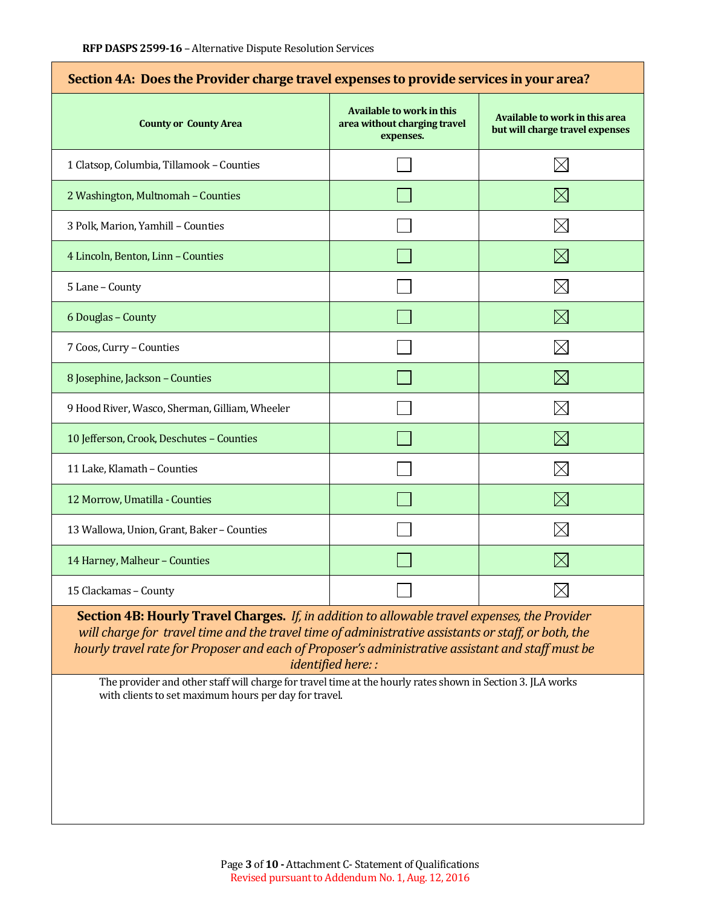| Section 4A: Does the Provider charge travel expenses to provide services in your area? |                                                                               |                                                                   |  |  |
|----------------------------------------------------------------------------------------|-------------------------------------------------------------------------------|-------------------------------------------------------------------|--|--|
| <b>County or County Area</b>                                                           | <b>Available to work in this</b><br>area without charging travel<br>expenses. | Available to work in this area<br>but will charge travel expenses |  |  |
| 1 Clatsop, Columbia, Tillamook - Counties                                              |                                                                               | $\boxtimes$                                                       |  |  |
| 2 Washington, Multnomah - Counties                                                     |                                                                               | $\boxtimes$                                                       |  |  |
| 3 Polk, Marion, Yamhill - Counties                                                     |                                                                               | $\boxtimes$                                                       |  |  |
| 4 Lincoln, Benton, Linn - Counties                                                     |                                                                               | $\boxtimes$                                                       |  |  |
| 5 Lane - County                                                                        |                                                                               | $\boxtimes$                                                       |  |  |
| 6 Douglas - County                                                                     |                                                                               | $\boxtimes$                                                       |  |  |
| 7 Coos, Curry - Counties                                                               |                                                                               | $\boxtimes$                                                       |  |  |
| 8 Josephine, Jackson - Counties                                                        |                                                                               | $\boxtimes$                                                       |  |  |
| 9 Hood River, Wasco, Sherman, Gilliam, Wheeler                                         |                                                                               | $\times$                                                          |  |  |
| 10 Jefferson, Crook, Deschutes - Counties                                              |                                                                               | $\boxtimes$                                                       |  |  |
| 11 Lake, Klamath - Counties                                                            |                                                                               | $\boxtimes$                                                       |  |  |
| 12 Morrow, Umatilla - Counties                                                         |                                                                               | $\boxtimes$                                                       |  |  |
| 13 Wallowa, Union, Grant, Baker - Counties                                             |                                                                               | $\boxtimes$                                                       |  |  |
| 14 Harney, Malheur - Counties                                                          |                                                                               | $\boxtimes$                                                       |  |  |
| 15 Clackamas - County                                                                  |                                                                               | $\times$                                                          |  |  |

**Section 4B: Hourly Travel Charges.** *If, in addition to allowable travel expenses, the Provider will charge for travel time and the travel time of administrative assistants or staff, or both, the hourly travel rate for Proposer and each of Proposer's administrative assistant and staff must be identified here: :*

The provider and other staff will charge for travel time at the hourly rates shown in Section 3. JLA works with clients to set maximum hours per day for travel.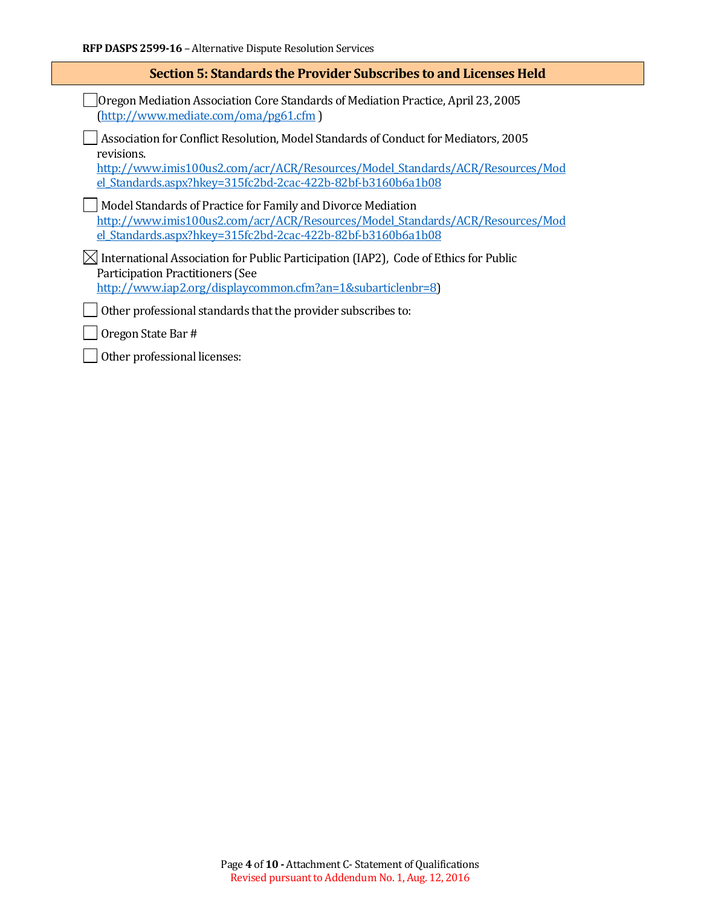| Section 5: Standards the Provider Subscribes to and Licenses Held                                                                                                                  |  |  |
|------------------------------------------------------------------------------------------------------------------------------------------------------------------------------------|--|--|
| Oregon Mediation Association Core Standards of Mediation Practice, April 23, 2005<br>(http://www.mediate.com/oma/pg61.cfm)                                                         |  |  |
| Association for Conflict Resolution, Model Standards of Conduct for Mediators, 2005<br>revisions.<br>http://www.imis100us2.com/acr/ACR/Resources/Model Standards/ACR/Resources/Mod |  |  |
| el Standards.aspx?hkey=315fc2bd-2cac-422b-82bf-b3160b6a1b08<br>Model Standards of Practice for Family and Divorce Mediation                                                        |  |  |
| http://www.imis100us2.com/acr/ACR/Resources/Model Standards/ACR/Resources/Mod<br>el Standards.aspx?hkey=315fc2bd-2cac-422b-82bf-b3160b6a1b08                                       |  |  |
| $\boxtimes$ International Association for Public Participation (IAP2), Code of Ethics for Public<br><b>Participation Practitioners (See</b>                                        |  |  |
| http://www.iap2.org/displaycommon.cfm?an=1&subarticlenbr=8)                                                                                                                        |  |  |
| Other professional standards that the provider subscribes to:                                                                                                                      |  |  |
| Oregon State Bar #                                                                                                                                                                 |  |  |
| Other professional licenses:                                                                                                                                                       |  |  |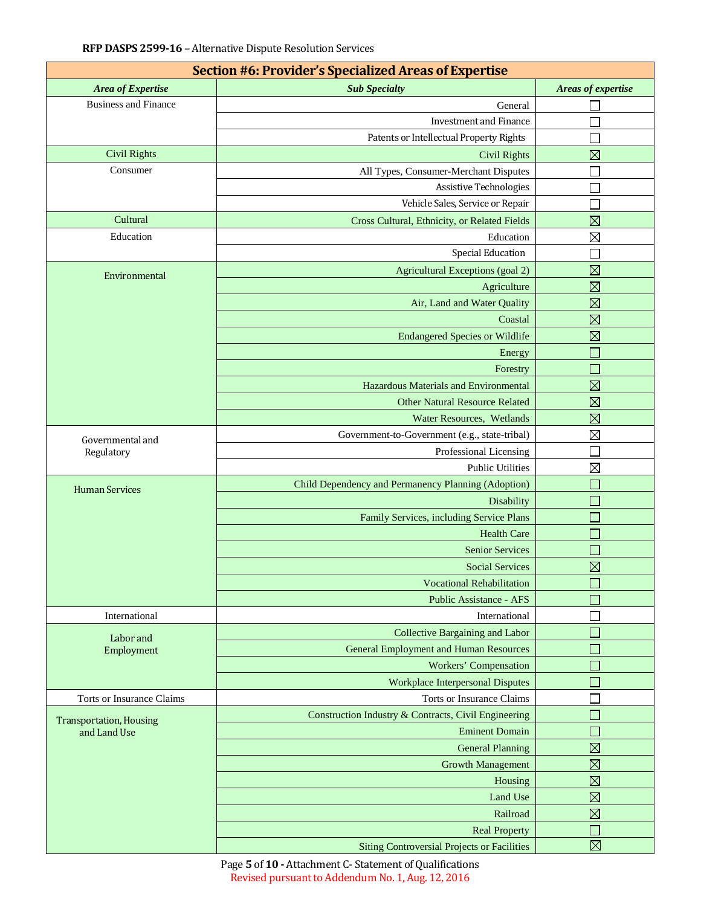| Section #6: Provider's Specialized Areas of Expertise |                                                      |                             |  |  |  |  |
|-------------------------------------------------------|------------------------------------------------------|-----------------------------|--|--|--|--|
| Area of Expertise                                     | <b>Sub Specialty</b>                                 | Areas of expertise          |  |  |  |  |
| <b>Business and Finance</b>                           | General                                              |                             |  |  |  |  |
|                                                       | <b>Investment and Finance</b>                        |                             |  |  |  |  |
|                                                       | Patents or Intellectual Property Rights              |                             |  |  |  |  |
| <b>Civil Rights</b>                                   | <b>Civil Rights</b>                                  | $\boxtimes$                 |  |  |  |  |
| Consumer                                              | All Types, Consumer-Merchant Disputes                |                             |  |  |  |  |
|                                                       | <b>Assistive Technologies</b>                        |                             |  |  |  |  |
|                                                       | Vehicle Sales, Service or Repair                     |                             |  |  |  |  |
| Cultural                                              | Cross Cultural, Ethnicity, or Related Fields         | $\boxtimes$                 |  |  |  |  |
| Education                                             | Education                                            | $\boxtimes$                 |  |  |  |  |
|                                                       | <b>Special Education</b>                             |                             |  |  |  |  |
| Environmental                                         | Agricultural Exceptions (goal 2)                     | $\boxtimes$                 |  |  |  |  |
|                                                       | Agriculture                                          | $\boxtimes$                 |  |  |  |  |
|                                                       | Air, Land and Water Quality                          | $\boxtimes$                 |  |  |  |  |
|                                                       | Coastal                                              | $\boxtimes$                 |  |  |  |  |
|                                                       | <b>Endangered Species or Wildlife</b>                | $\boxtimes$                 |  |  |  |  |
|                                                       | Energy                                               | $\mathcal{L}_{\mathcal{A}}$ |  |  |  |  |
|                                                       | Forestry                                             | $\overline{\phantom{a}}$    |  |  |  |  |
|                                                       | Hazardous Materials and Environmental                | $\boxtimes$                 |  |  |  |  |
|                                                       | <b>Other Natural Resource Related</b>                | $\boxtimes$                 |  |  |  |  |
|                                                       | Water Resources, Wetlands                            | $\boxtimes$                 |  |  |  |  |
|                                                       | Government-to-Government (e.g., state-tribal)        | $\boxtimes$                 |  |  |  |  |
| Governmental and<br>Regulatory                        | Professional Licensing                               |                             |  |  |  |  |
|                                                       | <b>Public Utilities</b>                              | $\boxtimes$                 |  |  |  |  |
|                                                       | Child Dependency and Permanency Planning (Adoption)  |                             |  |  |  |  |
| <b>Human Services</b>                                 | Disability                                           |                             |  |  |  |  |
|                                                       | Family Services, including Service Plans             | $\mathcal{L}_{\mathcal{A}}$ |  |  |  |  |
|                                                       | <b>Health Care</b>                                   |                             |  |  |  |  |
|                                                       | <b>Senior Services</b>                               | $\Box$                      |  |  |  |  |
|                                                       | <b>Social Services</b>                               | $\boxtimes$                 |  |  |  |  |
|                                                       | <b>Vocational Rehabilitation</b>                     |                             |  |  |  |  |
|                                                       | <b>Public Assistance - AFS</b>                       |                             |  |  |  |  |
| International                                         | International                                        |                             |  |  |  |  |
|                                                       | Collective Bargaining and Labor                      |                             |  |  |  |  |
| Labor and<br>Employment                               | <b>General Employment and Human Resources</b>        |                             |  |  |  |  |
|                                                       | <b>Workers' Compensation</b>                         |                             |  |  |  |  |
|                                                       | <b>Workplace Interpersonal Disputes</b>              |                             |  |  |  |  |
| <b>Torts or Insurance Claims</b>                      | Torts or Insurance Claims                            |                             |  |  |  |  |
|                                                       | Construction Industry & Contracts, Civil Engineering |                             |  |  |  |  |
| <b>Transportation, Housing</b><br>and Land Use        | <b>Eminent Domain</b>                                |                             |  |  |  |  |
|                                                       | <b>General Planning</b>                              | $\boxtimes$                 |  |  |  |  |
|                                                       | <b>Growth Management</b>                             | $\boxtimes$                 |  |  |  |  |
|                                                       | Housing                                              | $\boxtimes$                 |  |  |  |  |
|                                                       | Land Use                                             | $\boxtimes$                 |  |  |  |  |
|                                                       | Railroad                                             | $\boxtimes$                 |  |  |  |  |
|                                                       | <b>Real Property</b>                                 |                             |  |  |  |  |
|                                                       | <b>Siting Controversial Projects or Facilities</b>   | $\boxtimes$                 |  |  |  |  |

Page **5** of **10 -** Attachment C- Statement of Qualifications Revised pursuant to Addendum No. 1, Aug. 12, 2016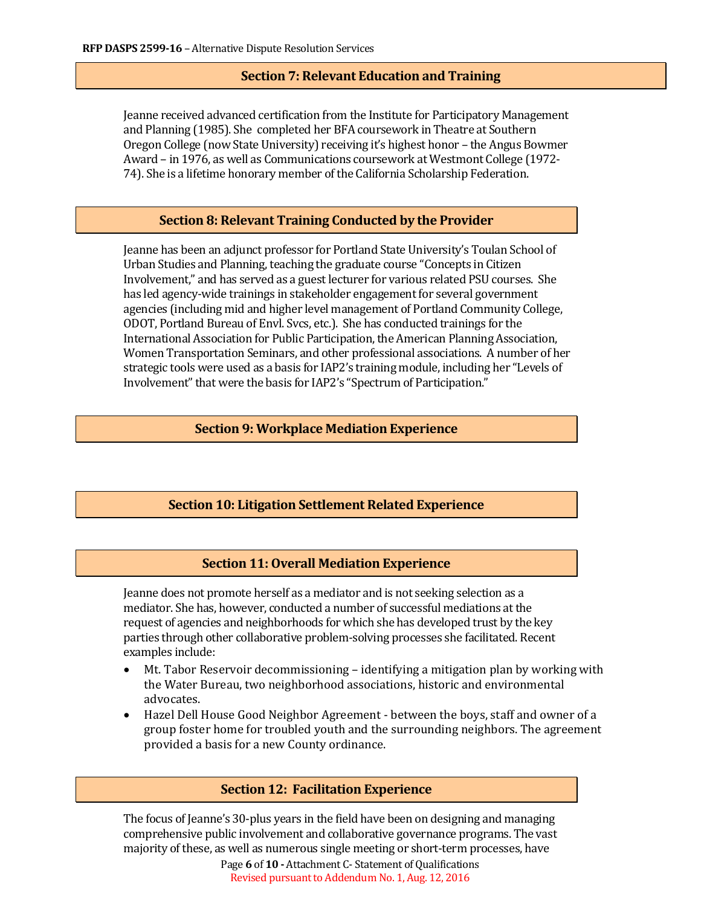# **Section 7: Relevant Education and Training**

Jeanne received advanced certification from the Institute for Participatory Management and Planning (1985). She completed her BFA coursework in Theatre at Southern Oregon College (now State University) receiving it's highest honor – the Angus Bowmer Award – in 1976, as well as Communications coursework at Westmont College (1972- 74). She is a lifetime honorary member of the California Scholarship Federation.

### **Section 8: Relevant Training Conducted by the Provider**

Jeanne has been an adjunct professor for Portland State University's Toulan School of Urban Studies and Planning, teaching the graduate course "Concepts in Citizen Involvement," and has served as a guest lecturer for various related PSU courses. She has led agency-wide trainings in stakeholder engagement for several government agencies (including mid and higher level management of Portland Community College, ODOT, Portland Bureau of Envl. Svcs, etc.). She has conducted trainings for the International Association for Public Participation, the American Planning Association, Women Transportation Seminars, and other professional associations. A number of her strategic tools were used as a basis for IAP2's training module, including her "Levels of Involvement" that were the basis for IAP2's "Spectrum of Participation."

### **Section 9: Workplace Mediation Experience**

#### **Section 10: Litigation Settlement Related Experience**

### **Section 11: Overall Mediation Experience**

Jeanne does not promote herself as a mediator and is not seeking selection as a mediator. She has, however, conducted a number of successful mediations at the request of agencies and neighborhoods for which she has developed trust by the key parties through other collaborative problem-solving processes she facilitated. Recent examples include:

- Mt. Tabor Reservoir decommissioning identifying a mitigation plan by working with the Water Bureau, two neighborhood associations, historic and environmental advocates.
- Hazel Dell House Good Neighbor Agreement between the boys, staff and owner of a group foster home for troubled youth and the surrounding neighbors. The agreement provided a basis for a new County ordinance.

### **Section 12: Facilitation Experience**

The focus of Jeanne's 30-plus years in the field have been on designing and managing comprehensive public involvement and collaborative governance programs. The vast majority of these, as well as numerous single meeting or short-term processes, have

Page **6** of **10 -** Attachment C- Statement of Qualifications Revised pursuant to Addendum No. 1, Aug. 12, 2016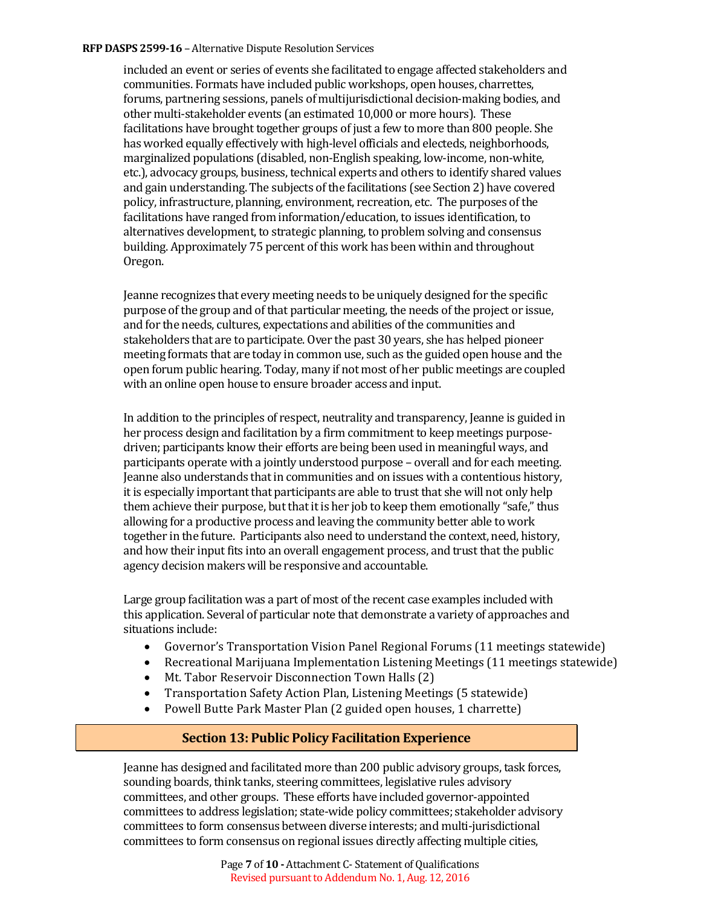#### **RFP DASPS 2599-16 - Alternative Dispute Resolution Services**

included an event or series of events she facilitated to engage affected stakeholders and communities. Formats have included public workshops, open houses, charrettes, forums, partnering sessions, panels of multijurisdictional decision-making bodies, and other multi-stakeholder events (an estimated 10,000 or more hours). These facilitations have brought together groups of just a few to more than 800 people. She has worked equally effectively with high-level officials and electeds, neighborhoods, marginalized populations (disabled, non-English speaking, low-income, non-white, etc.), advocacy groups, business, technical experts and others to identify shared values and gain understanding. The subjects of the facilitations (see Section 2) have covered policy, infrastructure, planning, environment, recreation, etc. The purposes of the facilitations have ranged from information/education, to issues identification, to alternatives development, to strategic planning, to problem solving and consensus building. Approximately 75 percent of this work has been within and throughout Oregon.

Jeanne recognizes that every meeting needs to be uniquely designed for the specific purpose of the group and of that particular meeting, the needs of the project or issue, and for the needs, cultures, expectations and abilities of the communities and stakeholders that are to participate. Over the past 30 years, she has helped pioneer meeting formats that are today in common use, such as the guided open house and the open forum public hearing. Today, many if not most of her public meetings are coupled with an online open house to ensure broader access and input.

In addition to the principles of respect, neutrality and transparency, Jeanne is guided in her process design and facilitation by a firm commitment to keep meetings purposedriven; participants know their efforts are being been used in meaningful ways, and participants operate with a jointly understood purpose – overall and for each meeting. Jeanne also understands that in communities and on issues with a contentious history, it is especially important that participants are able to trust that she will not only help them achieve their purpose, but that it is her job to keep them emotionally "safe," thus allowing for a productive process and leaving the community better able to work together in the future. Participants also need to understand the context, need, history, and how their input fits into an overall engagement process, and trust that the public agency decision makers will be responsive and accountable.

Large group facilitation was a part of most of the recent case examples included with this application. Several of particular note that demonstrate a variety of approaches and situations include:

- Governor's Transportation Vision Panel Regional Forums (11 meetings statewide)
- Recreational Marijuana Implementation Listening Meetings (11 meetings statewide)<br>• Mt. Tabor Reservoir Disconnection Town Halls (2)
- Mt. Tabor Reservoir Disconnection Town Halls (2)
- Transportation Safety Action Plan, Listening Meetings (5 statewide)<br>• Powell Butte Park Master Plan (2 guided open houses. 1 charrette)
- Powell Butte Park Master Plan (2 guided open houses, 1 charrette)

# **Section 13: Public Policy Facilitation Experience**

Jeanne has designed and facilitated more than 200 public advisory groups, task forces, sounding boards, think tanks, steering committees, legislative rules advisory committees, and other groups. These efforts have included governor-appointed committees to address legislation; state-wide policy committees; stakeholder advisory committees to form consensus between diverse interests; and multi-jurisdictional committees to form consensus on regional issues directly affecting multiple cities,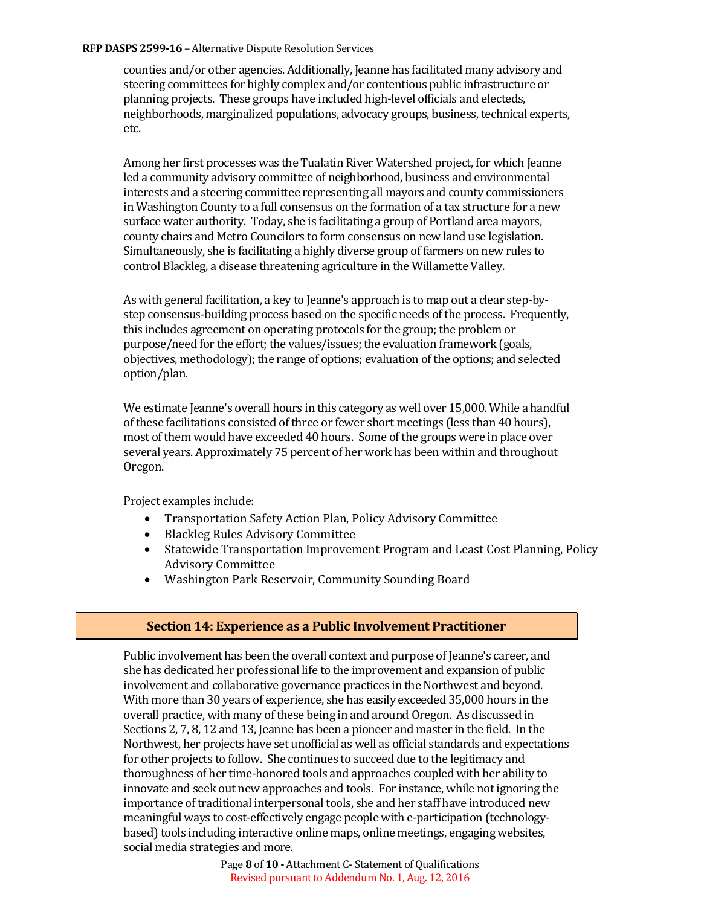#### **RFP DASPS 2599-16 - Alternative Dispute Resolution Services**

counties and/or other agencies. Additionally, Jeanne has facilitated many advisory and steering committees for highly complex and/or contentious public infrastructure or planning projects. These groups have included high-level officials and electeds, neighborhoods, marginalized populations, advocacy groups, business, technical experts, etc.

Among her first processes was the Tualatin River Watershed project, for which Jeanne led a community advisory committee of neighborhood, business and environmental interests and a steering committee representing all mayors and county commissioners in Washington County to a full consensus on the formation of a tax structure for a new surface water authority. Today, she is facilitating a group of Portland area mayors, county chairs and Metro Councilors to form consensus on new land use legislation. Simultaneously, she is facilitating a highly diverse group of farmers on new rules to control Blackleg, a disease threatening agriculture in the Willamette Valley.

As with general facilitation, a key to Jeanne's approach is to map out a clear step-bystep consensus-building process based on the specific needs of the process. Frequently, this includes agreement on operating protocols for the group; the problem or purpose/need for the effort; the values/issues; the evaluation framework (goals, objectives, methodology); the range of options; evaluation of the options; and selected option/plan.

We estimate Jeanne's overall hours in this category as well over 15,000. While a handful of these facilitations consisted of three or fewer short meetings (less than 40 hours), most of them would have exceeded 40 hours. Some of the groups were in place over several years. Approximately 75 percent of her work has been within and throughout Oregon.

Project examples include:

- Transportation Safety Action Plan, Policy Advisory Committee
- Blackleg Rules Advisory Committee
- Statewide Transportation Improvement Program and Least Cost Planning, Policy Advisory Committee
- Washington Park Reservoir, Community Sounding Board

# **Section 14: Experience as a Public Involvement Practitioner**

Public involvement has been the overall context and purpose of Jeanne's career, and she has dedicated her professional life to the improvement and expansion of public involvement and collaborative governance practices in the Northwest and beyond. With more than 30 years of experience, she has easily exceeded 35,000 hours in the overall practice, with many of these being in and around Oregon. As discussed in Sections 2, 7, 8, 12 and 13, Jeanne has been a pioneer and master in the field. In the Northwest, her projects have set unofficial as well as official standards and expectations for other projects to follow. She continues to succeed due to the legitimacy and thoroughness of her time-honored tools and approaches coupled with her ability to innovate and seek out new approaches and tools. For instance, while not ignoring the importance of traditional interpersonal tools, she and her staff have introduced new meaningful ways to cost-effectively engage people with e-participation (technologybased) tools including interactive online maps, online meetings, engaging websites, social media strategies and more.

> Page **8** of **10 -** Attachment C- Statement of Qualifications Revised pursuant to Addendum No. 1, Aug. 12, 2016